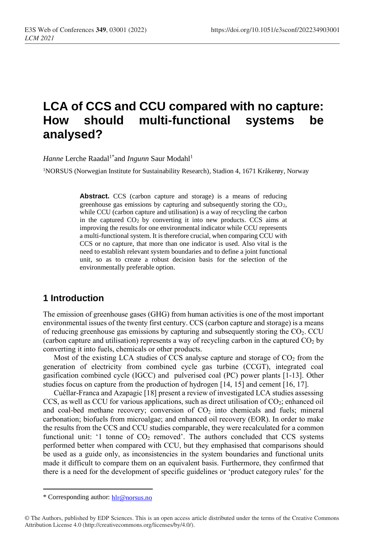# **LCA of CCS and CCU compared with no capture: How should multi-functional systems be analysed?**

*Hanne* Lerche Raadal<sup>1\*</sup>and *Ingunn* Saur Modahl<sup>1</sup>

<sup>1</sup>NORSUS (Norwegian Institute for Sustainability Research), Stadion 4, 1671 Kråkerøy, Norway

**Abstract.** CCS (carbon capture and storage) is a means of reducing greenhouse gas emissions by capturing and subsequently storing the  $CO<sub>2</sub>$ , while CCU (carbon capture and utilisation) is a way of recycling the carbon in the captured CO<sup>2</sup> by converting it into new products. CCS aims at improving the results for one environmental indicator while CCU represents a multi-functional system. It is therefore crucial, when comparing CCU with CCS or no capture, that more than one indicator is used. Also vital is the need to establish relevant system boundaries and to define a joint functional unit, so as to create a robust decision basis for the selection of the environmentally preferable option.

## **1 Introduction**

The emission of greenhouse gases (GHG) from human activities is one of the most important environmental issues of the twenty first century. CCS (carbon capture and storage) is a means of reducing greenhouse gas emissions by capturing and subsequently storing the CO2. CCU (carbon capture and utilisation) represents a way of recycling carbon in the captured  $CO<sub>2</sub>$  by converting it into fuels, chemicals or other products.

Most of the existing LCA studies of CCS analyse capture and storage of  $CO<sub>2</sub>$  from the generation of electricity from combined cycle gas turbine (CCGT), integrated coal gasification combined cycle (IGCC) and pulverised coal (PC) power plants [1-13]. Other studies focus on capture from the production of hydrogen [14, 15] and cement [16, 17].

Cuéllar-Franca and Azapagic [18] present a review of investigated LCA studies assessing CCS, as well as CCU for various applications, such as direct utilisation of CO2; enhanced oil and coal-bed methane recovery; conversion of  $CO<sub>2</sub>$  into chemicals and fuels; mineral carbonation; biofuels from microalgae; and enhanced oil recovery (EOR). In order to make the results from the CCS and CCU studies comparable, they were recalculated for a common functional unit: '1 tonne of  $CO<sub>2</sub>$  removed'. The authors concluded that CCS systems performed better when compared with CCU, but they emphasised that comparisons should be used as a guide only, as inconsistencies in the system boundaries and functional units made it difficult to compare them on an equivalent basis. Furthermore, they confirmed that there is a need for the development of specific guidelines or 'product category rules' for the

<sup>\*</sup> Corresponding author: [hlr@norsus.no](mailto:hlr@norsus.no)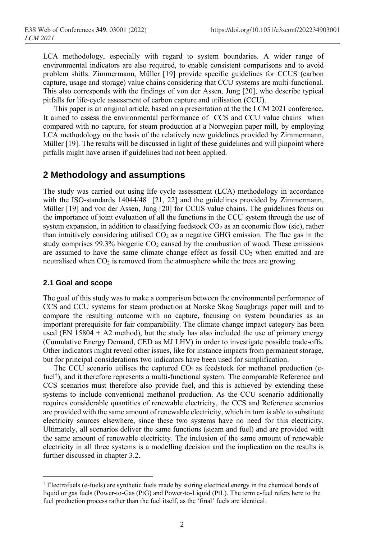LCA methodology, especially with regard to system boundaries. A wider range of environmental indicators are also required, to enable consistent comparisons and to avoid problem shifts. Zimmermann, Müller [19] provide specific guidelines for CCUS (carbon capture, usage and storage) value chains considering that CCU systems are multi-functional. This also corresponds with the findings of von der Assen, Jung [20], who describe typical pitfalls for life-cycle assessment of carbon capture and utilisation (CCU).

This paper is an original article, based on a presentation at the the LCM 2021 conference. It aimed to assess the environmental performance of CCS and CCU value chains when compared with no capture, for steam production at a Norwegian paper mill, by employing LCA methodology on the basis of the relatively new guidelines provided by Zimmermann, Müller [19]. The results will be discussed in light of these guidelines and will pinpoint where pitfalls might have arisen if guidelines had not been applied.

## **2 Methodology and assumptions**

The study was carried out using life cycle assessment (LCA) methodology in accordance with the ISO-standards 14044/48 [21, 22] and the guidelines provided by Zimmermann, Müller [19] and von der Assen, Jung [20] for CCUS value chains. The guidelines focus on the importance of joint evaluation of all the functions in the CCU system through the use of system expansion, in addition to classifying feedstock  $CO<sub>2</sub>$  as an economic flow (sic), rather than intuitively considering utilised  $CO<sub>2</sub>$  as a negative GHG emission. The flue gas in the study comprises  $99.3\%$  biogenic  $CO<sub>2</sub>$  caused by the combustion of wood. These emissions are assumed to have the same climate change effect as fossil  $CO<sub>2</sub>$  when emitted and are neutralised when  $CO<sub>2</sub>$  is removed from the atmosphere while the trees are growing.

#### **2.1 Goal and scope**

The goal of this study was to make a comparison between the environmental performance of CCS and CCU systems for steam production at Norske Skog Saugbrugs paper mill and to compare the resulting outcome with no capture, focusing on system boundaries as an important prerequisite for fair comparability. The climate change impact category has been used (EN  $15804 + A2$  method), but the study has also included the use of primary energy (Cumulative Energy Demand, CED as MJ LHV) in order to investigate possible trade-offs. Other indicators might reveal other issues, like for instance impacts from permanent storage, but for principal considerations two indicators have been used for simplification.

The CCU scenario utilises the captured  $CO<sub>2</sub>$  as feedstock for methanol production (efuel<sup>†</sup>), and it therefore represents a multi-functional system. The comparable Reference and CCS scenarios must therefore also provide fuel, and this is achieved by extending these systems to include conventional methanol production. As the CCU scenario additionally requires considerable quantities of renewable electricity, the CCS and Reference scenarios are provided with the same amount of renewable electricity, which in turn is able to substitute electricity sources elsewhere, since these two systems have no need for this electricity. Ultimately, all scenarios deliver the same functions (steam and fuel) and are provided with the same amount of renewable electricity. The inclusion of the same amount of renewable electricity in all three systems is a modelling decision and the implication on the results is further discussed in chapter 3.2.

<sup>†</sup> Electrofuels (e-fuels) are synthetic fuels made by storing electrical energy in the chemical bonds of liquid or gas fuels (Power-to-Gas (PtG) and Power-to-Liquid (PtL). The term e-fuel refers here to the fuel production process rather than the fuel itself, as the 'final' fuels are identical.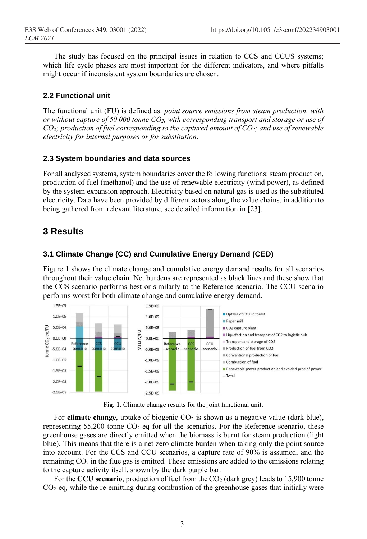The study has focused on the principal issues in relation to CCS and CCUS systems; which life cycle phases are most important for the different indicators, and where pitfalls might occur if inconsistent system boundaries are chosen.

### **2.2 Functional unit**

The functional unit (FU) is defined as: *point source emissions from steam production, with or without capture of 50 000 tonne CO2, with corresponding transport and storage or use of CO2; production of fuel corresponding to the captured amount of CO2; and use of renewable electricity for internal purposes or for substitution*.

#### **2.3 System boundaries and data sources**

For all analysed systems, system boundaries cover the following functions: steam production, production of fuel (methanol) and the use of renewable electricity (wind power), as defined by the system expansion approach. Electricity based on natural gas is used as the substituted electricity. Data have been provided by different actors along the value chains, in addition to being gathered from relevant literature, see detailed information in [23].

## **3 Results**

#### **3.1 Climate Change (CC) and Cumulative Energy Demand (CED)**

Figure 1 shows the climate change and cumulative energy demand results for all scenarios throughout their value chain. Net burdens are represented as black lines and these show that the CCS scenario performs best or similarly to the Reference scenario. The CCU scenario performs worst for both climate change and cumulative energy demand.



**Fig. 1.** Climate change results for the joint functional unit.

For **climate change**, uptake of biogenic CO<sub>2</sub> is shown as a negative value (dark blue), representing  $55,200$  tonne  $CO<sub>2</sub>$ -eq for all the scenarios. For the Reference scenario, these greenhouse gases are directly emitted when the biomass is burnt for steam production (light blue). This means that there is a net zero climate burden when taking only the point source into account. For the CCS and CCU scenarios, a capture rate of 90% is assumed, and the remaining  $CO<sub>2</sub>$  in the flue gas is emitted. These emissions are added to the emissions relating to the capture activity itself, shown by the dark purple bar.

For the **CCU scenario**, production of fuel from the  $CO<sub>2</sub>$  (dark grey) leads to 15,900 tonne CO2-eq, while the re-emitting during combustion of the greenhouse gases that initially were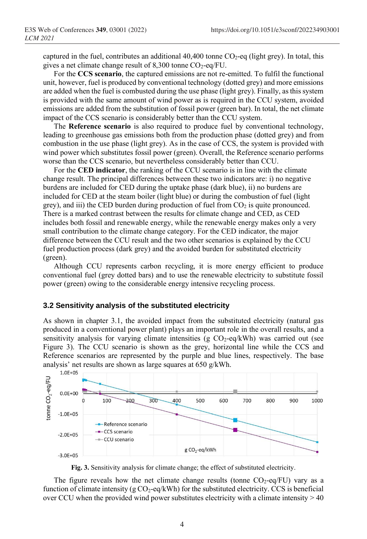captured in the fuel, contributes an additional  $40,400$  tonne  $CO<sub>2</sub>$ -eq (light grey). In total, this gives a net climate change result of  $8,300$  tonne CO<sub>2</sub>-eq/FU.

For the **CCS scenario**, the captured emissions are not re-emitted. To fulfil the functional unit, however, fuel is produced by conventional technology (dotted grey) and more emissions are added when the fuel is combusted during the use phase (light grey). Finally, as this system is provided with the same amount of wind power as is required in the CCU system, avoided emissions are added from the substitution of fossil power (green bar). In total, the net climate impact of the CCS scenario is considerably better than the CCU system.

The **Reference scenario** is also required to produce fuel by conventional technology, leading to greenhouse gas emissions both from the production phase (dotted grey) and from combustion in the use phase (light grey). As in the case of CCS, the system is provided with wind power which substitutes fossil power (green). Overall, the Reference scenario performs worse than the CCS scenario, but nevertheless considerably better than CCU.

For the **CED indicator**, the ranking of the CCU scenario is in line with the climate change result. The principal differences between these two indicators are: i) no negative burdens are included for CED during the uptake phase (dark blue), ii) no burdens are included for CED at the steam boiler (light blue) or during the combustion of fuel (light grey), and iii) the CED burden during production of fuel from  $CO<sub>2</sub>$  is quite pronounced. There is a marked contrast between the results for climate change and CED, as CED includes both fossil and renewable energy, while the renewable energy makes only a very small contribution to the climate change category. For the CED indicator, the major difference between the CCU result and the two other scenarios is explained by the CCU fuel production process (dark grey) and the avoided burden for substituted electricity (green).

Although CCU represents carbon recycling, it is more energy efficient to produce conventional fuel (grey dotted bars) and to use the renewable electricity to substitute fossil power (green) owing to the considerable energy intensive recycling process.

#### **3.2 Sensitivity analysis of the substituted electricity**

As shown in chapter 3.1, the avoided impact from the substituted electricity (natural gas produced in a conventional power plant) plays an important role in the overall results, and a sensitivity analysis for varying climate intensities (g  $CO_2$ -eq/kWh) was carried out (see Figure 3). The CCU scenario is shown as the grey, horizontal line while the CCS and Reference scenarios are represented by the purple and blue lines, respectively. The base analysis' net results are shown as large squares at 650 g/kWh.



**Fig. 3.** Sensitivity analysis for climate change; the effect of substituted electricity.

The figure reveals how the net climate change results (tonne  $CO_2$ -eq/FU) vary as a function of climate intensity  $(g\text{CO}_2\text{-eq}/kWh)$  for the substituted electricity. CCS is beneficial over CCU when the provided wind power substitutes electricity with a climate intensity  $> 40$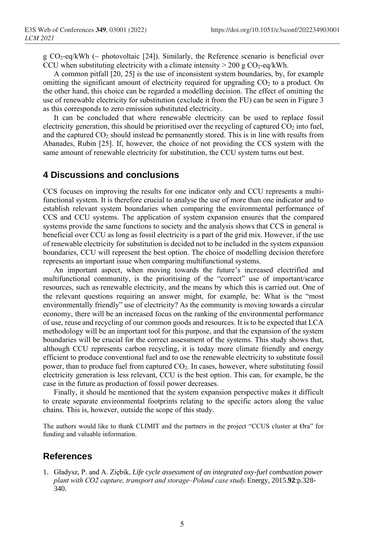g CO<sub>2</sub>-eq/kWh ( $\sim$  photovoltaic [24]). Similarly, the Reference scenario is beneficial over CCU when substituting electricity with a climate intensity  $> 200 \text{ g } CO_2$ -eq/kWh.

A common pitfall [20, 25] is the use of inconsistent system boundaries, by, for example omitting the significant amount of electricity required for upgrading  $CO<sub>2</sub>$  to a product. On the other hand, this choice can be regarded a modelling decision. The effect of omitting the use of renewable electricity for substitution (exclude it from the FU) can be seen in Figure 3 as this corresponds to zero emission substituted electricity.

It can be concluded that where renewable electricity can be used to replace fossil electricity generation, this should be prioritised over the recycling of captured  $CO<sub>2</sub>$  into fuel, and the captured  $CO_2$  should instead be permanently stored. This is in line with results from Abanades, Rubin [25]. If, however, the choice of not providing the CCS system with the same amount of renewable electricity for substitution, the CCU system turns out best.

## **4 Discussions and conclusions**

CCS focuses on improving the results for one indicator only and CCU represents a multifunctional system. It is therefore crucial to analyse the use of more than one indicator and to establish relevant system boundaries when comparing the environmental performance of CCS and CCU systems. The application of system expansion ensures that the compared systems provide the same functions to society and the analysis shows that CCS in general is beneficial over CCU as long as fossil electricity is a part of the grid mix. However, if the use of renewable electricity for substitution is decided not to be included in the system expansion boundaries, CCU will represent the best option. The choice of modelling decision therefore represents an important issue when comparing multifunctional systems.

An important aspect, when moving towards the future's increased electrified and multifunctional community, is the prioritising of the "correct" use of important/scarce resources, such as renewable electricity, and the means by which this is carried out. One of the relevant questions requiring an answer might, for example, be: What is the "most environmentally friendly" use of electricity? As the community is moving towards a circular economy, there will be an increased focus on the ranking of the environmental performance of use, reuse and recycling of our common goods and resources. Itis to be expected that LCA methodology will be an important tool for this purpose, and that the expansion of the system boundaries will be crucial for the correct assessment of the systems. This study shows that, although CCU represents carbon recycling, it is today more climate friendly and energy efficient to produce conventional fuel and to use the renewable electricity to substitute fossil power, than to produce fuel from captured CO<sub>2</sub>. In cases, however, where substituting fossil electricity generation is less relevant, CCU is the best option. This can, for example, be the case in the future as production of fossil power decreases.

Finally, it should be mentioned that the system expansion perspective makes it difficult to create separate environmental footprints relating to the specific actors along the value chains. This is, however, outside the scope of this study.

The authors would like to thank CLIMIT and the partners in the project "CCUS cluster at Øra" for funding and valuable information.

## **References**

1. Gładysz, P. and A. Ziębik, *Life cycle assessment of an integrated oxy-fuel combustion power plant with CO2 capture, transport and storage‒Poland case study.*Energy, 2015.**92**:p.328- 340.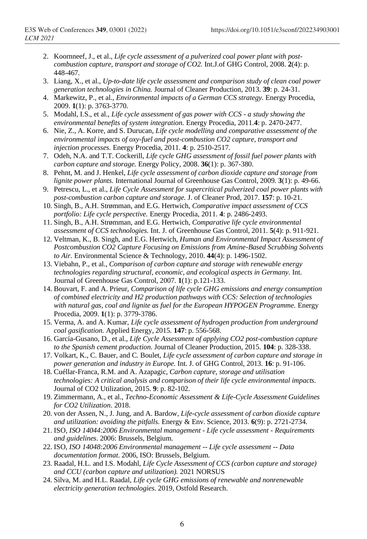- 2. Koornneef, J., et al., *Life cycle assessment of a pulverized coal power plant with postcombustion capture, transport and storage of CO2.* Int.J.of GHG Control, 2008. **2**(4): p. 448-467.
- 3. Liang, X., et al., *Up-to-date life cycle assessment and comparison study of clean coal power generation technologies in China.* Journal of Cleaner Production, 2013. **39**: p. 24-31.
- 4. Markewitz, P., et al., *Environmental impacts of a German CCS strategy.* Energy Procedia, 2009. **1**(1): p. 3763-3770.
- 5. Modahl, I.S., et al., *Life cycle assessment of gas power with CCS - a study showing the environmental benefits of system integration.* Energy Procedia, 2011.**4**: p. 2470-2477.
- 6. Nie, Z., A. Korre, and S. Durucan, *Life cycle modelling and comparative assessment of the environmental impacts of oxy-fuel and post-combustion CO2 capture, transport and injection processes.* Energy Procedia, 2011. **4**: p. 2510-2517.
- 7. Odeh, N.A. and T.T. Cockerill, *Life cycle GHG assessment of fossil fuel power plants with carbon capture and storage.* Energy Policy, 2008. **36**(1): p. 367-380.
- 8. Pehnt, M. and J. Henkel, *Life cycle assessment of carbon dioxide capture and storage from lignite power plants.* International Journal of Greenhouse Gas Control, 2009. **3**(1): p. 49-66.
- 9. Petrescu, L., et al., *Life Cycle Assessment for supercritical pulverized coal power plants with post-combustion carbon capture and storage.* J. of Cleaner Prod, 2017. **157**: p. 10-21.
- 10. Singh, B., A.H. Strømman, and E.G. Hertwich, *Comparative impact assessment of CCS portfolio: Life cycle perspective.* Energy Procedia, 2011. **4**: p. 2486-2493.
- 11. Singh, B., A.H. Strømman, and E.G. Hertwich, *Comparative life cycle environmental assessment of CCS technologies.* Int. J. of Greenhouse Gas Control, 2011. **5**(4): p. 911-921.
- 12. Veltman, K., B. Singh, and E.G. Hertwich, *Human and Environmental Impact Assessment of Postcombustion CO2 Capture Focusing on Emissions from Amine-Based Scrubbing Solvents to Air.* Environmental Science & Technology, 2010. **44**(4): p. 1496-1502.
- 13. Viebahn, P., et al., *Comparison of carbon capture and storage with renewable energy technologies regarding structural, economic, and ecological aspects in Germany.* Int. Journal of Greenhouse Gas Control, 2007. **1**(1): p.121-133.
- 14. Bouvart, F. and A. Prieur, *Comparison of life cycle GHG emissions and energy consumption of combined electricity and H2 production pathways with CCS: Selection of technologies with natural gas, coal and lignite as fuel for the European HYPOGEN Programme.* Energy Procedia, 2009. **1**(1): p. 3779-3786.
- 15. Verma, A. and A. Kumar, *Life cycle assessment of hydrogen production from underground coal gasification.* Applied Energy, 2015. **147**: p. 556-568.
- 16. García-Gusano, D., et al., *Life Cycle Assessment of applying CO2 post-combustion capture to the Spanish cement production.* Journal of Cleaner Production, 2015. **104**: p. 328-338.
- 17. Volkart, K., C. Bauer, and C. Boulet, *Life cycle assessment of carbon capture and storage in power generation and industry in Europe.* Int. J. of GHG Control, 2013. **16**: p. 91-106.
- 18. Cuéllar-Franca, R.M. and A. Azapagic, *Carbon capture, storage and utilisation technologies: A critical analysis and comparison of their life cycle environmental impacts.* Journal of CO2 Utilization, 2015. **9**: p. 82-102.
- 19. Zimmermann, A., et al., *Techno-Economic Assessment & Life-Cycle Assessment Guidelines for CO2 Utilization*. 2018.
- 20. von der Assen, N., J. Jung, and A. Bardow, *Life-cycle assessment of carbon dioxide capture and utilization: avoiding the pitfalls.* Energy & Env. Science, 2013. **6**(9): p. 2721-2734.
- 21. ISO, *ISO 14044:2006 Environmental management - Life cycle assessment - Requirements and guidelines*. 2006: Brussels, Belgium.
- 22. ISO, *ISO 14048:2006 Environmental management -- Life cycle assessment -- Data documentation format*. 2006, ISO: Brussels, Belgium.
- 23. Raadal, H.L. and I.S. Modahl, *Life Cycle Assessment of CCS (carbon capture and storage) and CCU (carbon capture and utilization).* 2021 NORSUS
- 24. Silva, M. and H.L. Raadal, *Life cycle GHG emissions of renewable and nonrenewable electricity generation technologies*. 2019, Ostfold Research.